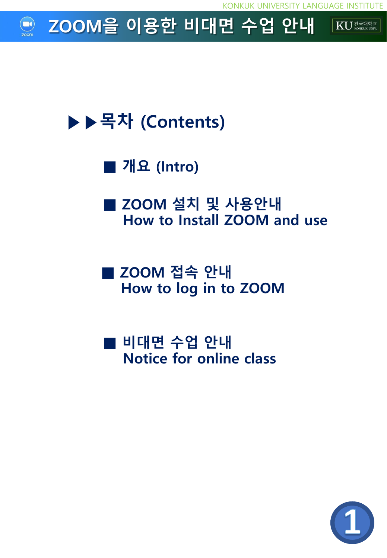

# ▶▶목차 (Contents)

■ 개요 (Intro)

■ ZOOM 설치 및 사용안내 How to Install ZOOM and use

■ ZOOM 접속 안내 How to log in to ZOOM

■ 비대면 수업 안내 Notice for online class

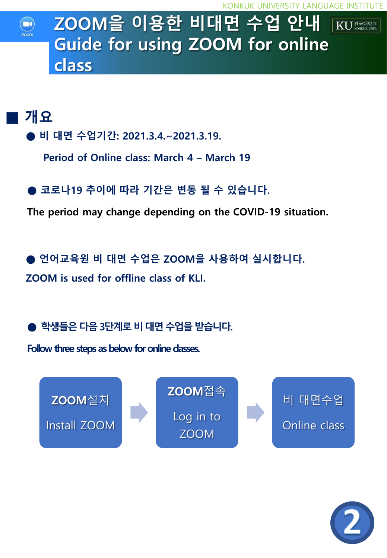## ZOOM을 이용한 비대면 수업 안내  $\sqrt{KU^{\frac{3}{24}$ <sup>H  $\text{eV}}$ </sup> Guide for using ZOOM for online class

## ■ 개요

- 비 대면 수업기간: 2021.3.4.~2021.3.19.
	- Period of Online class: March 4 March 19
- 코로나19 추이에 따라 기간은 변동 될 수 있습니다.

The period may change depending on the COVID-19 situation.

언어교육원 비 대면 수업은 ZOOM을 사용하여 실시합니다. ZOOM is used for offline class of KLI.

학생들은 다음 3단계로 비 대면 수업을 받습니다.

Follow three steps as below for online dasses.



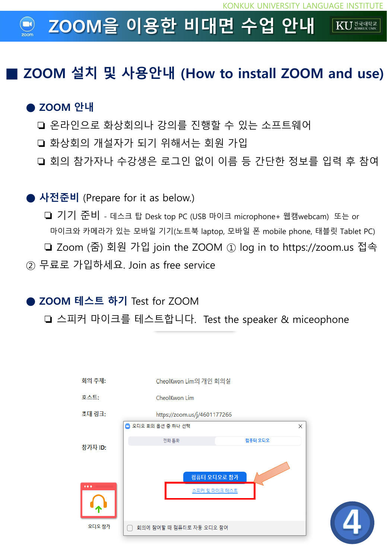#### ZOOM을 이용한 비대면 수업 안내  $\mathbf{K}$ U  $\mathbb{Z}$   $\mathbb{Z}$   $\mathbb{Z}$   $\mathbb{Z}$   $\mathbb{Z}$   $\mathbb{Z}$   $\mathbb{Z}$   $\mathbb{Z}$   $\mathbb{Z}$   $\mathbb{Z}$   $\mathbb{Z}$   $\mathbb{Z}$   $\mathbb{Z}$   $\mathbb{Z}$   $\mathbb{Z}$   $\mathbb{Z}$   $\mathbb{Z}$   $\mathbb{Z}$   $\mathbb{Z}$   $\mathbb{Z}$   $\mathbb{Z}$   $\mathbb{Z}$   $\mathbb{Z}$   $\mathbb$

## ■ ZOOM 설치 및 사용안내 (How to install ZOOM and use)

### ● ZOOM 안내

- ❏ 온라인으로 화상회의나 강의를 진행할 수 있는 소프트웨어
- ❏ 화상회의 개설자가 되기 위해서는 회원 가입
- ❏ 회의 참가자나 수강생은 로그인 없이 이름 등 간단한 정보를 입력 후 참여

### ● 사전준비 (Prepare for it as below.)

❏ 기기 준비 - 데스크 탑 Desk top PC (USB 마이크 microphone+ 웹캠webcam) 또는 or 마이크와 카메라가 있는 모바일 기기(노트북 laptop, 모바일 폰 mobile phone, 태블릿 Tablet PC) ❏ Zoom (줌) 회원 가입 join the ZOOM ① log in to https://zoom.us 접속 ② 무료로 가입하세요. Join as free service

### ● ZOOM 테스트 하기 Test for ZOOM

❏ 스피커 마이크를 테스트합니다. Test the speaker & miceophone



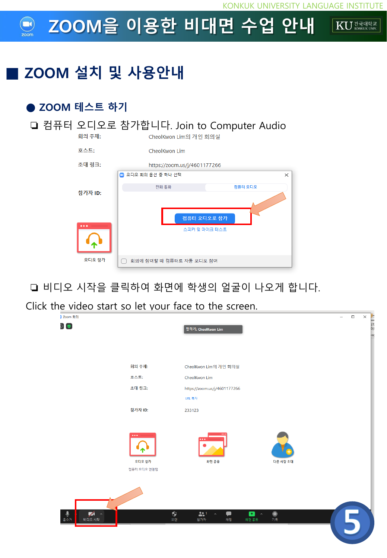#### ZOOM을 이용한 비대면 수업 안내 KU ZETHELE

## ZOOM 설치 및 사용안내

### ● ZOOM 테스트 하기



❏ 비디오 시작을 클릭하여 화면에 학생의 얼굴이 나오게 합니다.

Click the video start so let your face to the screen.

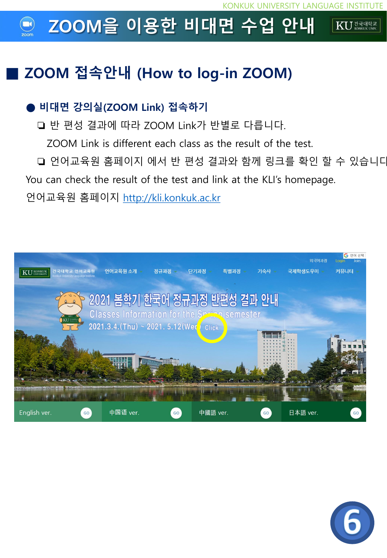#### ZOOM을 이용한 비대면 수업 안내 KU ZENSLE

## ■ ZOOM 접속안내 (How to log-in ZOOM)

### ● 비대면 강의실(ZOOM Link) 접속하기

❏ 반 편성 결과에 따라 ZOOM Link가 반별로 다릅니다.

ZOOM Link is different each class as the result of the test.

❏ 언어교육원 홈페이지 에서 반 편성 결과와 함께 링크를 확인 할 수 있습니다. You can check the result of the test and link at the KLI's homepage.

언어교육원 홈페이지 [http://kli.konkuk.ac.kr](http://kli.konkuk.ac.kr/)